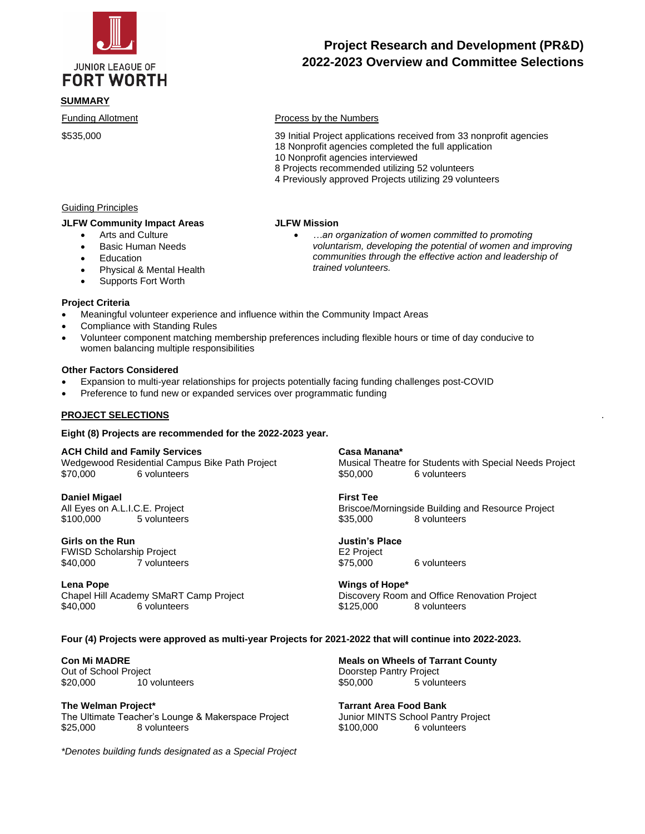

# **FORT WORTH**

# **SUMMARY**

# **Project Research and Development (PR&D) 2022-2023 Overview and Committee Selections**

#### Funding Allotment **Process by the Numbers**

\$535,000 39 Initial Project applications received from 33 nonprofit agencies

• *…an organization of women committed to promoting* 

*voluntarism, developing the potential of women and improving communities through the effective action and leadership of* 

- 18 Nonprofit agencies completed the full application
- 10 Nonprofit agencies interviewed

*trained volunteers.*

- 8 Projects recommended utilizing 52 volunteers
- 4 Previously approved Projects utilizing 29 volunteers

# Guiding Principles

#### **JLFW Community Impact Areas**

- Arts and Culture
	- Basic Human Needs
	- **Education**
	- Physical & Mental Health
	- Supports Fort Worth

#### **Project Criteria**

- Meaningful volunteer experience and influence within the Community Impact Areas
- Compliance with Standing Rules
- Volunteer component matching membership preferences including flexible hours or time of day conducive to women balancing multiple responsibilities

**JLFW Mission**

#### **Other Factors Considered**

- Expansion to multi-year relationships for projects potentially facing funding challenges post-COVID
- Preference to fund new or expanded services over programmatic funding

#### **PROJECT SELECTIONS** *.*

**Eight (8) Projects are recommended for the 2022-2023 year.** 

#### **ACH Child and Family Services**

Wedgewood Residential Campus Bike Path Project \$70,000 6 volunteers

**Daniel Migael**  All Eyes on A.L.I.C.E. Project \$100,000 5 volunteers

#### **Girls on the Run**

FWISD Scholarship Project \$40,000 7 volunteers

**Lena Pope**

Chapel Hill Academy SMaRT Camp Project \$40,000 6 volunteers

#### **Casa Manana\***

Musical Theatre for Students with Special Needs Project \$50,000 6 volunteers

#### **First Tee**

Briscoe/Morningside Building and Resource Project \$35,000 8 volunteers

**Justin's Place** E2 Project<br>\$75,000 6 volunteers

**Wings of Hope\*** Discovery Room and Office Renovation Project \$125,000 8 volunteers

#### **Four (4) Projects were approved as multi-year Projects for 2021-2022 that will continue into 2022-2023.**

**Con Mi MADRE**

Out of School Project \$20,000 10 volunteers

**The Welman Project\*** The Ultimate Teacher's Lounge & Makerspace Project \$25,000 8 volunteers

*\*Denotes building funds designated as a Special Project*

**Meals on Wheels of Tarrant County** Doorstep Pantry Project \$50,000 5 volunteers

**Tarrant Area Food Bank**  Junior MINTS School Pantry Project \$100,000 6 volunteers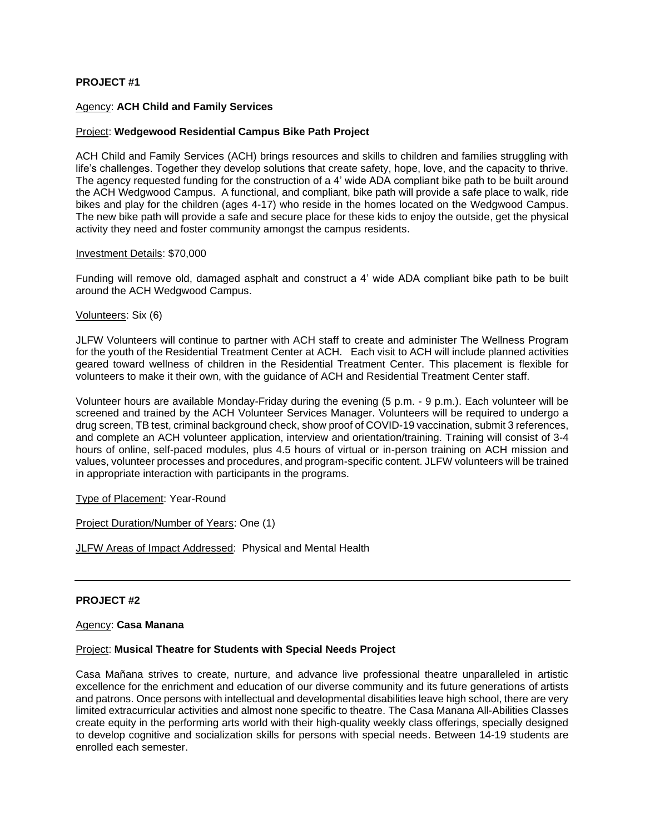#### **PROJECT #1**

#### Agency: **ACH Child and Family Services**

#### Project: **Wedgewood Residential Campus Bike Path Project**

ACH Child and Family Services (ACH) brings resources and skills to children and families struggling with life's challenges. Together they develop solutions that create safety, hope, love, and the capacity to thrive. The agency requested funding for the construction of a 4' wide ADA compliant bike path to be built around the ACH Wedgwood Campus. A functional, and compliant, bike path will provide a safe place to walk, ride bikes and play for the children (ages 4-17) who reside in the homes located on the Wedgwood Campus. The new bike path will provide a safe and secure place for these kids to enjoy the outside, get the physical activity they need and foster community amongst the campus residents.

#### Investment Details: \$70,000

Funding will remove old, damaged asphalt and construct a 4' wide ADA compliant bike path to be built around the ACH Wedgwood Campus.

Volunteers: Six (6)

JLFW Volunteers will continue to partner with ACH staff to create and administer The Wellness Program for the youth of the Residential Treatment Center at ACH. Each visit to ACH will include planned activities geared toward wellness of children in the Residential Treatment Center. This placement is flexible for volunteers to make it their own, with the guidance of ACH and Residential Treatment Center staff.

Volunteer hours are available Monday-Friday during the evening (5 p.m. - 9 p.m.). Each volunteer will be screened and trained by the ACH Volunteer Services Manager. Volunteers will be required to undergo a drug screen, TB test, criminal background check, show proof of COVID-19 vaccination, submit 3 references, and complete an ACH volunteer application, interview and orientation/training. Training will consist of 3-4 hours of online, self-paced modules, plus 4.5 hours of virtual or in-person training on ACH mission and values, volunteer processes and procedures, and program-specific content. JLFW volunteers will be trained in appropriate interaction with participants in the programs.

Type of Placement: Year-Round

Project Duration/Number of Years: One (1)

JLFW Areas of Impact Addressed: Physical and Mental Health

#### **PROJECT #2**

#### Agency: **Casa Manana**

#### Project: **Musical Theatre for Students with Special Needs Project**

Casa Mañana strives to create, nurture, and advance live professional theatre unparalleled in artistic excellence for the enrichment and education of our diverse community and its future generations of artists and patrons. Once persons with intellectual and developmental disabilities leave high school, there are very limited extracurricular activities and almost none specific to theatre. The Casa Manana All-Abilities Classes create equity in the performing arts world with their high-quality weekly class offerings, specially designed to develop cognitive and socialization skills for persons with special needs. Between 14-19 students are enrolled each semester.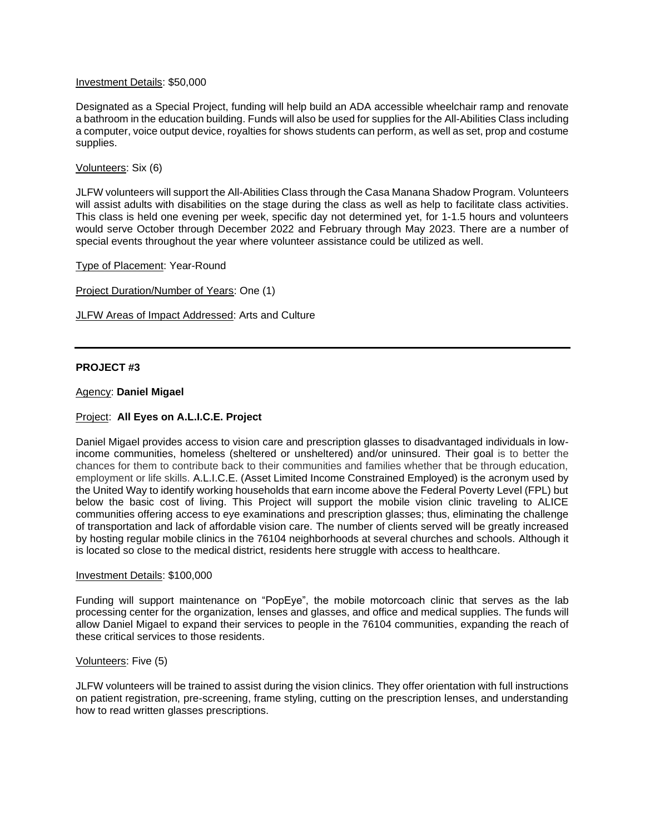#### Investment Details: \$50,000

Designated as a Special Project, funding will help build an ADA accessible wheelchair ramp and renovate a bathroom in the education building. Funds will also be used for supplies for the All-Abilities Class including a computer, voice output device, royalties for shows students can perform, as well as set, prop and costume supplies.

#### Volunteers: Six (6)

JLFW volunteers will support the All-Abilities Class through the Casa Manana Shadow Program. Volunteers will assist adults with disabilities on the stage during the class as well as help to facilitate class activities. This class is held one evening per week, specific day not determined yet, for 1-1.5 hours and volunteers would serve October through December 2022 and February through May 2023. There are a number of special events throughout the year where volunteer assistance could be utilized as well.

Type of Placement: Year-Round

Project Duration/Number of Years: One (1)

JLFW Areas of Impact Addressed: Arts and Culture

#### **PROJECT #3**

#### Agency: **Daniel Migael**

#### Project: **All Eyes on A.L.I.C.E. Project**

Daniel Migael provides access to vision care and prescription glasses to disadvantaged individuals in lowincome communities, homeless (sheltered or unsheltered) and/or uninsured. Their goal is to better the chances for them to contribute back to their communities and families whether that be through education, employment or life skills. A.L.I.C.E. (Asset Limited Income Constrained Employed) is the acronym used by the United Way to identify working households that earn income above the Federal Poverty Level (FPL) but below the basic cost of living. This Project will support the mobile vision clinic traveling to ALICE communities offering access to eye examinations and prescription glasses; thus, eliminating the challenge of transportation and lack of affordable vision care. The number of clients served will be greatly increased by hosting regular mobile clinics in the 76104 neighborhoods at several churches and schools. Although it is located so close to the medical district, residents here struggle with access to healthcare.

#### Investment Details: \$100,000

Funding will support maintenance on "PopEye", the mobile motorcoach clinic that serves as the lab processing center for the organization, lenses and glasses, and office and medical supplies. The funds will allow Daniel Migael to expand their services to people in the 76104 communities, expanding the reach of these critical services to those residents.

#### Volunteers: Five (5)

JLFW volunteers will be trained to assist during the vision clinics. They offer orientation with full instructions on patient registration, pre-screening, frame styling, cutting on the prescription lenses, and understanding how to read written glasses prescriptions.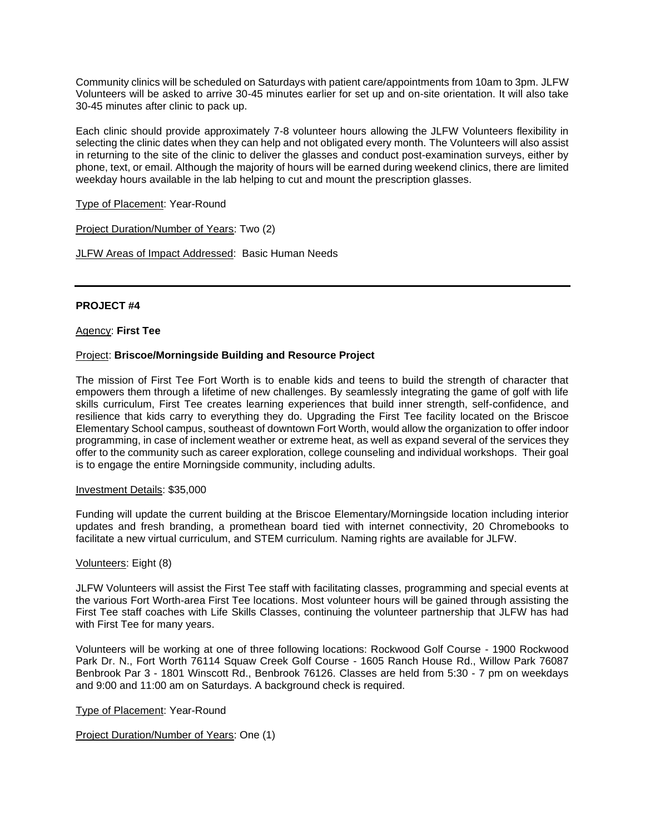Community clinics will be scheduled on Saturdays with patient care/appointments from 10am to 3pm. JLFW Volunteers will be asked to arrive 30-45 minutes earlier for set up and on-site orientation. It will also take 30-45 minutes after clinic to pack up.

Each clinic should provide approximately 7-8 volunteer hours allowing the JLFW Volunteers flexibility in selecting the clinic dates when they can help and not obligated every month. The Volunteers will also assist in returning to the site of the clinic to deliver the glasses and conduct post-examination surveys, either by phone, text, or email. Although the majority of hours will be earned during weekend clinics, there are limited weekday hours available in the lab helping to cut and mount the prescription glasses.

Type of Placement: Year-Round

Project Duration/Number of Years: Two (2)

JLFW Areas of Impact Addressed: Basic Human Needs

## **PROJECT #4**

Agency: **First Tee**

#### Project: **Briscoe/Morningside Building and Resource Project**

The mission of First Tee Fort Worth is to enable kids and teens to build the strength of character that empowers them through a lifetime of new challenges. By seamlessly integrating the game of golf with life skills curriculum, First Tee creates learning experiences that build inner strength, self-confidence, and resilience that kids carry to everything they do. Upgrading the First Tee facility located on the Briscoe Elementary School campus, southeast of downtown Fort Worth, would allow the organization to offer indoor programming, in case of inclement weather or extreme heat, as well as expand several of the services they offer to the community such as career exploration, college counseling and individual workshops. Their goal is to engage the entire Morningside community, including adults.

#### Investment Details: \$35,000

Funding will update the current building at the Briscoe Elementary/Morningside location including interior updates and fresh branding, a promethean board tied with internet connectivity, 20 Chromebooks to facilitate a new virtual curriculum, and STEM curriculum. Naming rights are available for JLFW.

#### Volunteers: Eight (8)

JLFW Volunteers will assist the First Tee staff with facilitating classes, programming and special events at the various Fort Worth-area First Tee locations. Most volunteer hours will be gained through assisting the First Tee staff coaches with Life Skills Classes, continuing the volunteer partnership that JLFW has had with First Tee for many years.

Volunteers will be working at one of three following locations: Rockwood Golf Course - 1900 Rockwood Park Dr. N., Fort Worth 76114 Squaw Creek Golf Course - 1605 Ranch House Rd., Willow Park 76087 Benbrook Par 3 - 1801 Winscott Rd., Benbrook 76126. Classes are held from 5:30 - 7 pm on weekdays and 9:00 and 11:00 am on Saturdays. A background check is required.

Type of Placement: Year-Round

Project Duration/Number of Years: One (1)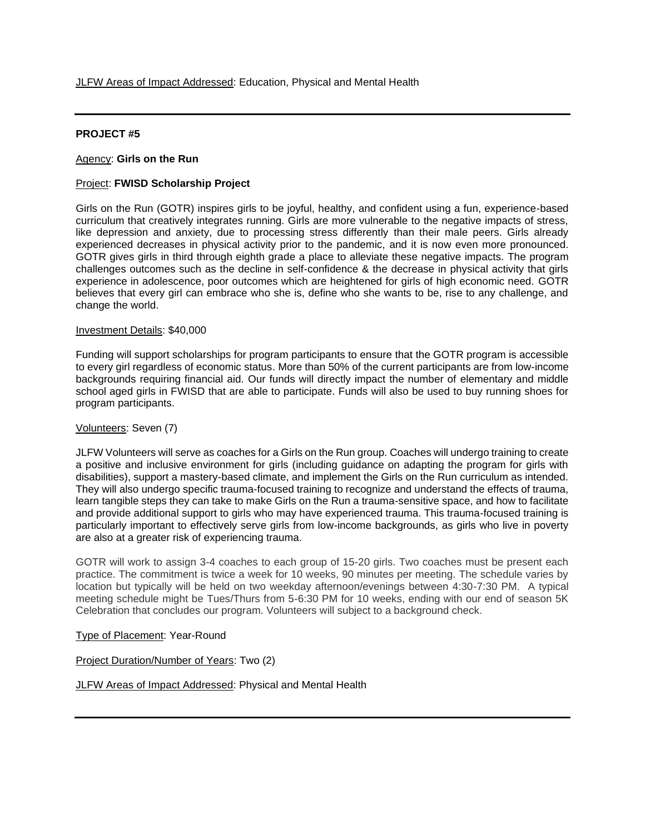#### **PROJECT #5**

#### Agency: **Girls on the Run**

#### Project: **FWISD Scholarship Project**

Girls on the Run (GOTR) inspires girls to be joyful, healthy, and confident using a fun, experience-based curriculum that creatively integrates running. Girls are more vulnerable to the negative impacts of stress, like depression and anxiety, due to processing stress differently than their male peers. Girls already experienced decreases in physical activity prior to the pandemic, and it is now even more pronounced. GOTR gives girls in third through eighth grade a place to alleviate these negative impacts. The program challenges outcomes such as the decline in self-confidence & the decrease in physical activity that girls experience in adolescence, poor outcomes which are heightened for girls of high economic need. GOTR believes that every girl can embrace who she is, define who she wants to be, rise to any challenge, and change the world.

#### Investment Details: \$40,000

Funding will support scholarships for program participants to ensure that the GOTR program is accessible to every girl regardless of economic status. More than 50% of the current participants are from low-income backgrounds requiring financial aid. Our funds will directly impact the number of elementary and middle school aged girls in FWISD that are able to participate. Funds will also be used to buy running shoes for program participants.

#### Volunteers: Seven (7)

JLFW Volunteers will serve as coaches for a Girls on the Run group. Coaches will undergo training to create a positive and inclusive environment for girls (including guidance on adapting the program for girls with disabilities), support a mastery-based climate, and implement the Girls on the Run curriculum as intended. They will also undergo specific trauma-focused training to recognize and understand the effects of trauma, learn tangible steps they can take to make Girls on the Run a trauma-sensitive space, and how to facilitate and provide additional support to girls who may have experienced trauma. This trauma-focused training is particularly important to effectively serve girls from low-income backgrounds, as girls who live in poverty are also at a greater risk of experiencing trauma.

GOTR will work to assign 3-4 coaches to each group of 15-20 girls. Two coaches must be present each practice. The commitment is twice a week for 10 weeks, 90 minutes per meeting. The schedule varies by location but typically will be held on two weekday afternoon/evenings between 4:30-7:30 PM. A typical meeting schedule might be Tues/Thurs from 5-6:30 PM for 10 weeks, ending with our end of season 5K Celebration that concludes our program. Volunteers will subject to a background check.

#### Type of Placement: Year-Round

Project Duration/Number of Years: Two (2)

JLFW Areas of Impact Addressed: Physical and Mental Health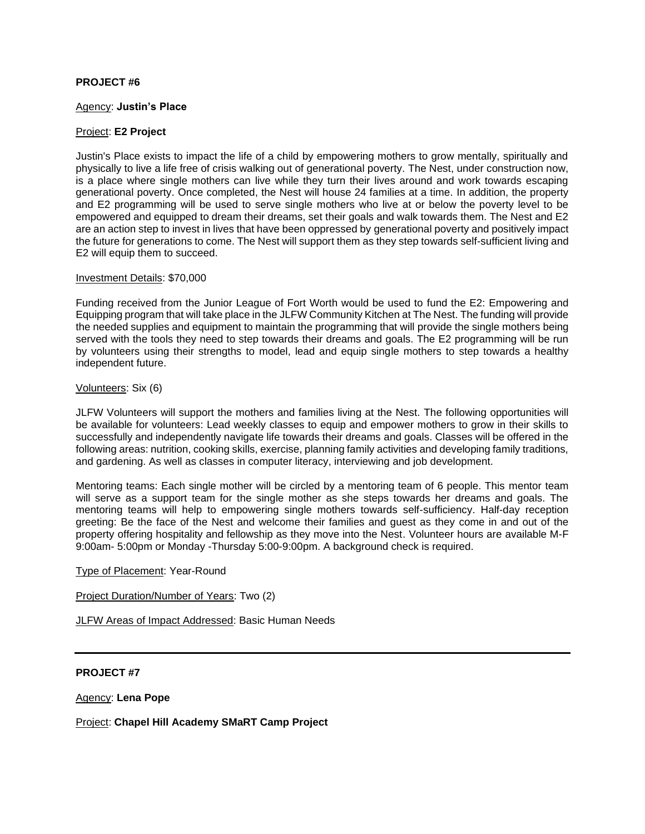#### **PROJECT #6**

#### Agency: **Justin's Place**

#### Project: **E2 Project**

Justin's Place exists to impact the life of a child by empowering mothers to grow mentally, spiritually and physically to live a life free of crisis walking out of generational poverty. The Nest, under construction now, is a place where single mothers can live while they turn their lives around and work towards escaping generational poverty. Once completed, the Nest will house 24 families at a time. In addition, the property and E2 programming will be used to serve single mothers who live at or below the poverty level to be empowered and equipped to dream their dreams, set their goals and walk towards them. The Nest and E2 are an action step to invest in lives that have been oppressed by generational poverty and positively impact the future for generations to come. The Nest will support them as they step towards self-sufficient living and E2 will equip them to succeed.

#### Investment Details: \$70,000

Funding received from the Junior League of Fort Worth would be used to fund the E2: Empowering and Equipping program that will take place in the JLFW Community Kitchen at The Nest. The funding will provide the needed supplies and equipment to maintain the programming that will provide the single mothers being served with the tools they need to step towards their dreams and goals. The E2 programming will be run by volunteers using their strengths to model, lead and equip single mothers to step towards a healthy independent future.

## Volunteers: Six (6)

JLFW Volunteers will support the mothers and families living at the Nest. The following opportunities will be available for volunteers: Lead weekly classes to equip and empower mothers to grow in their skills to successfully and independently navigate life towards their dreams and goals. Classes will be offered in the following areas: nutrition, cooking skills, exercise, planning family activities and developing family traditions, and gardening. As well as classes in computer literacy, interviewing and job development.

Mentoring teams: Each single mother will be circled by a mentoring team of 6 people. This mentor team will serve as a support team for the single mother as she steps towards her dreams and goals. The mentoring teams will help to empowering single mothers towards self-sufficiency. Half-day reception greeting: Be the face of the Nest and welcome their families and guest as they come in and out of the property offering hospitality and fellowship as they move into the Nest. Volunteer hours are available M-F 9:00am- 5:00pm or Monday -Thursday 5:00-9:00pm. A background check is required.

Type of Placement: Year-Round

Project Duration/Number of Years: Two (2)

JLFW Areas of Impact Addressed: Basic Human Needs

#### **PROJECT #7**

Agency: **Lena Pope**

Project: **Chapel Hill Academy SMaRT Camp Project**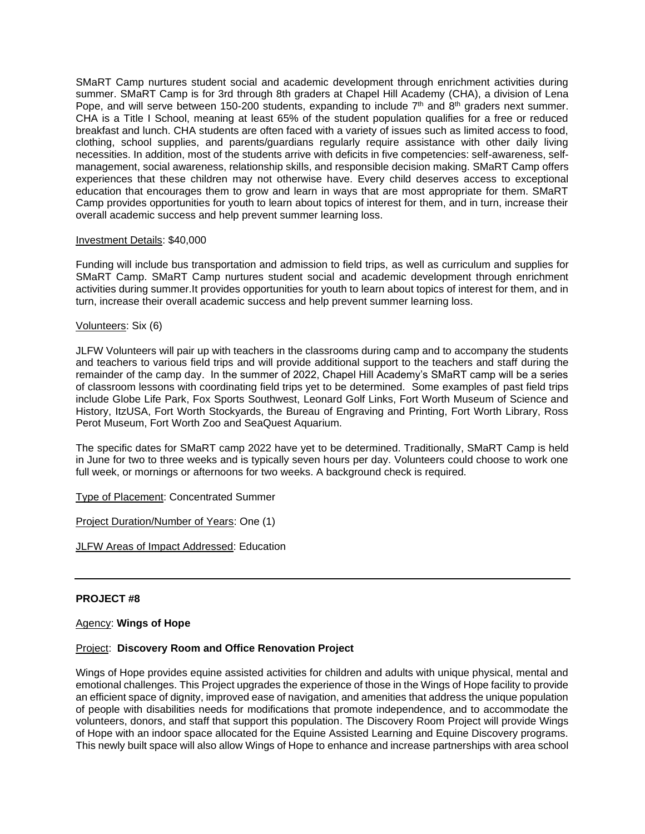SMaRT Camp nurtures student social and academic development through enrichment activities during summer. SMaRT Camp is for 3rd through 8th graders at Chapel Hill Academy (CHA), a division of Lena Pope, and will serve between 150-200 students, expanding to include  $7<sup>th</sup>$  and  $8<sup>th</sup>$  graders next summer. CHA is a Title I School, meaning at least 65% of the student population qualifies for a free or reduced breakfast and lunch. CHA students are often faced with a variety of issues such as limited access to food, clothing, school supplies, and parents/guardians regularly require assistance with other daily living necessities. In addition, most of the students arrive with deficits in five competencies: self-awareness, selfmanagement, social awareness, relationship skills, and responsible decision making. SMaRT Camp offers experiences that these children may not otherwise have. Every child deserves access to exceptional education that encourages them to grow and learn in ways that are most appropriate for them. SMaRT Camp provides opportunities for youth to learn about topics of interest for them, and in turn, increase their overall academic success and help prevent summer learning loss.

#### Investment Details: \$40,000

Funding will include bus transportation and admission to field trips, as well as curriculum and supplies for SMaRT Camp. SMaRT Camp nurtures student social and academic development through enrichment activities during summer.It provides opportunities for youth to learn about topics of interest for them, and in turn, increase their overall academic success and help prevent summer learning loss.

#### Volunteers: Six (6)

JLFW Volunteers will pair up with teachers in the classrooms during camp and to accompany the students and teachers to various field trips and will provide additional support to the teachers and staff during the remainder of the camp day. In the summer of 2022, Chapel Hill Academy's SMaRT camp will be a series of classroom lessons with coordinating field trips yet to be determined. Some examples of past field trips include Globe Life Park, Fox Sports Southwest, Leonard Golf Links, Fort Worth Museum of Science and History, ItzUSA, Fort Worth Stockyards, the Bureau of Engraving and Printing, Fort Worth Library, Ross Perot Museum, Fort Worth Zoo and SeaQuest Aquarium.

The specific dates for SMaRT camp 2022 have yet to be determined. Traditionally, SMaRT Camp is held in June for two to three weeks and is typically seven hours per day. Volunteers could choose to work one full week, or mornings or afternoons for two weeks. A background check is required.

Type of Placement: Concentrated Summer

Project Duration/Number of Years: One (1)

JLFW Areas of Impact Addressed: Education

#### **PROJECT #8**

Agency: **Wings of Hope**

#### Project: **Discovery Room and Office Renovation Project**

Wings of Hope provides equine assisted activities for children and adults with unique physical, mental and emotional challenges. This Project upgrades the experience of those in the Wings of Hope facility to provide an efficient space of dignity, improved ease of navigation, and amenities that address the unique population of people with disabilities needs for modifications that promote independence, and to accommodate the volunteers, donors, and staff that support this population. The Discovery Room Project will provide Wings of Hope with an indoor space allocated for the Equine Assisted Learning and Equine Discovery programs. This newly built space will also allow Wings of Hope to enhance and increase partnerships with area school